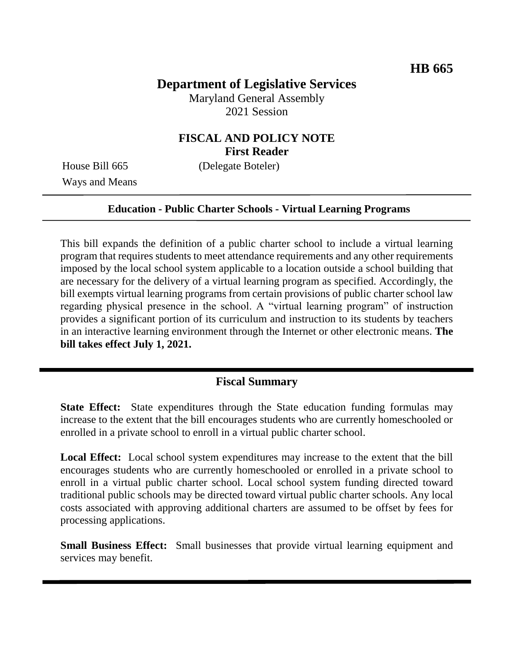# **Department of Legislative Services**

Maryland General Assembly 2021 Session

## **FISCAL AND POLICY NOTE First Reader**

Ways and Means

House Bill 665 (Delegate Boteler)

#### **Education - Public Charter Schools - Virtual Learning Programs**

This bill expands the definition of a public charter school to include a virtual learning program that requires students to meet attendance requirements and any other requirements imposed by the local school system applicable to a location outside a school building that are necessary for the delivery of a virtual learning program as specified. Accordingly, the bill exempts virtual learning programs from certain provisions of public charter school law regarding physical presence in the school. A "virtual learning program" of instruction provides a significant portion of its curriculum and instruction to its students by teachers in an interactive learning environment through the Internet or other electronic means. **The bill takes effect July 1, 2021.**

### **Fiscal Summary**

**State Effect:** State expenditures through the State education funding formulas may increase to the extent that the bill encourages students who are currently homeschooled or enrolled in a private school to enroll in a virtual public charter school.

**Local Effect:** Local school system expenditures may increase to the extent that the bill encourages students who are currently homeschooled or enrolled in a private school to enroll in a virtual public charter school. Local school system funding directed toward traditional public schools may be directed toward virtual public charter schools. Any local costs associated with approving additional charters are assumed to be offset by fees for processing applications.

**Small Business Effect:** Small businesses that provide virtual learning equipment and services may benefit.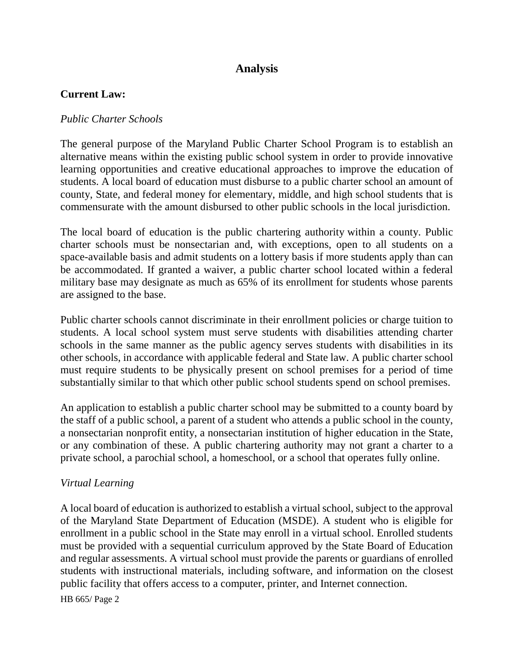# **Analysis**

### **Current Law:**

### *Public Charter Schools*

The general purpose of the Maryland Public Charter School Program is to establish an alternative means within the existing public school system in order to provide innovative learning opportunities and creative educational approaches to improve the education of students. A local board of education must disburse to a public charter school an amount of county, State, and federal money for elementary, middle, and high school students that is commensurate with the amount disbursed to other public schools in the local jurisdiction.

The local board of education is the public chartering authority within a county. Public charter schools must be nonsectarian and, with exceptions, open to all students on a space-available basis and admit students on a lottery basis if more students apply than can be accommodated. If granted a waiver, a public charter school located within a federal military base may designate as much as 65% of its enrollment for students whose parents are assigned to the base.

Public charter schools cannot discriminate in their enrollment policies or charge tuition to students. A local school system must serve students with disabilities attending charter schools in the same manner as the public agency serves students with disabilities in its other schools, in accordance with applicable federal and State law. A public charter school must require students to be physically present on school premises for a period of time substantially similar to that which other public school students spend on school premises.

An application to establish a public charter school may be submitted to a county board by the staff of a public school, a parent of a student who attends a public school in the county, a nonsectarian nonprofit entity, a nonsectarian institution of higher education in the State, or any combination of these. A public chartering authority may not grant a charter to a private school, a parochial school, a homeschool, or a school that operates fully online.

#### *Virtual Learning*

A local board of education is authorized to establish a virtual school, subject to the approval of the Maryland State Department of Education (MSDE). A student who is eligible for enrollment in a public school in the State may enroll in a virtual school. Enrolled students must be provided with a sequential curriculum approved by the State Board of Education and regular assessments. A virtual school must provide the parents or guardians of enrolled students with instructional materials, including software, and information on the closest public facility that offers access to a computer, printer, and Internet connection.

HB 665/ Page 2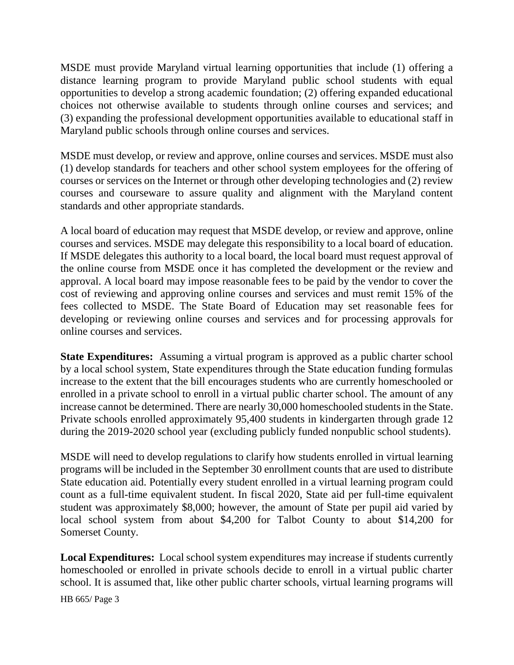MSDE must provide Maryland virtual learning opportunities that include (1) offering a distance learning program to provide Maryland public school students with equal opportunities to develop a strong academic foundation; (2) offering expanded educational choices not otherwise available to students through online courses and services; and (3) expanding the professional development opportunities available to educational staff in Maryland public schools through online courses and services.

MSDE must develop, or review and approve, online courses and services. MSDE must also (1) develop standards for teachers and other school system employees for the offering of courses or services on the Internet or through other developing technologies and (2) review courses and courseware to assure quality and alignment with the Maryland content standards and other appropriate standards.

A local board of education may request that MSDE develop, or review and approve, online courses and services. MSDE may delegate this responsibility to a local board of education. If MSDE delegates this authority to a local board, the local board must request approval of the online course from MSDE once it has completed the development or the review and approval. A local board may impose reasonable fees to be paid by the vendor to cover the cost of reviewing and approving online courses and services and must remit 15% of the fees collected to MSDE. The State Board of Education may set reasonable fees for developing or reviewing online courses and services and for processing approvals for online courses and services.

**State Expenditures:** Assuming a virtual program is approved as a public charter school by a local school system, State expenditures through the State education funding formulas increase to the extent that the bill encourages students who are currently homeschooled or enrolled in a private school to enroll in a virtual public charter school. The amount of any increase cannot be determined. There are nearly 30,000 homeschooled students in the State. Private schools enrolled approximately 95,400 students in kindergarten through grade 12 during the 2019-2020 school year (excluding publicly funded nonpublic school students).

MSDE will need to develop regulations to clarify how students enrolled in virtual learning programs will be included in the September 30 enrollment counts that are used to distribute State education aid. Potentially every student enrolled in a virtual learning program could count as a full-time equivalent student. In fiscal 2020, State aid per full-time equivalent student was approximately \$8,000; however, the amount of State per pupil aid varied by local school system from about \$4,200 for Talbot County to about \$14,200 for Somerset County.

**Local Expenditures:** Local school system expenditures may increase if students currently homeschooled or enrolled in private schools decide to enroll in a virtual public charter school. It is assumed that, like other public charter schools, virtual learning programs will

HB 665/ Page 3